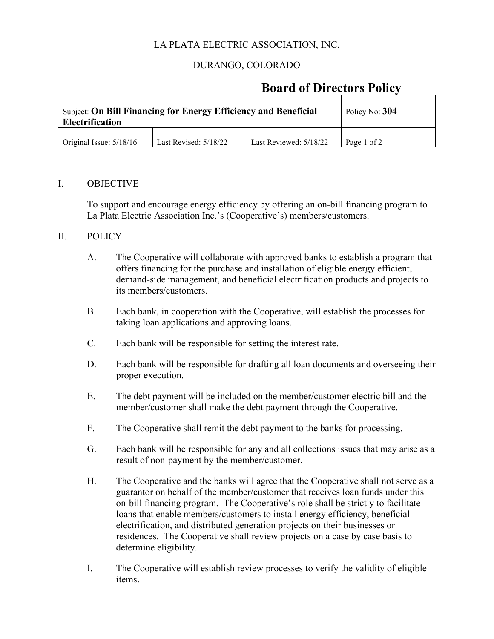# LA PLATA ELECTRIC ASSOCIATION, INC.

# DURANGO, COLORADO

# **Board of Directors Policy**

| <b>Subject: On Bill Financing for Energy Efficiency and Beneficial</b><br><b>Electrification</b> |                       |                        | Policy No: 304 |
|--------------------------------------------------------------------------------------------------|-----------------------|------------------------|----------------|
| Original Issue: $5/18/16$                                                                        | Last Revised: 5/18/22 | Last Reviewed: 5/18/22 | Page 1 of 2    |

#### I. OBJECTIVE

To support and encourage energy efficiency by offering an on-bill financing program to La Plata Electric Association Inc.'s (Cooperative's) members/customers.

#### II. POLICY

- A. The Cooperative will collaborate with approved banks to establish a program that offers financing for the purchase and installation of eligible energy efficient, demand-side management, and beneficial electrification products and projects to its members/customers.
- B. Each bank, in cooperation with the Cooperative, will establish the processes for taking loan applications and approving loans.
- C. Each bank will be responsible for setting the interest rate.
- D. Each bank will be responsible for drafting all loan documents and overseeing their proper execution.
- E. The debt payment will be included on the member/customer electric bill and the member/customer shall make the debt payment through the Cooperative.
- F. The Cooperative shall remit the debt payment to the banks for processing.
- G. Each bank will be responsible for any and all collections issues that may arise as a result of non-payment by the member/customer.
- H. The Cooperative and the banks will agree that the Cooperative shall not serve as a guarantor on behalf of the member/customer that receives loan funds under this on-bill financing program. The Cooperative's role shall be strictly to facilitate loans that enable members/customers to install energy efficiency, beneficial electrification, and distributed generation projects on their businesses or residences. The Cooperative shall review projects on a case by case basis to determine eligibility.
- I. The Cooperative will establish review processes to verify the validity of eligible items.